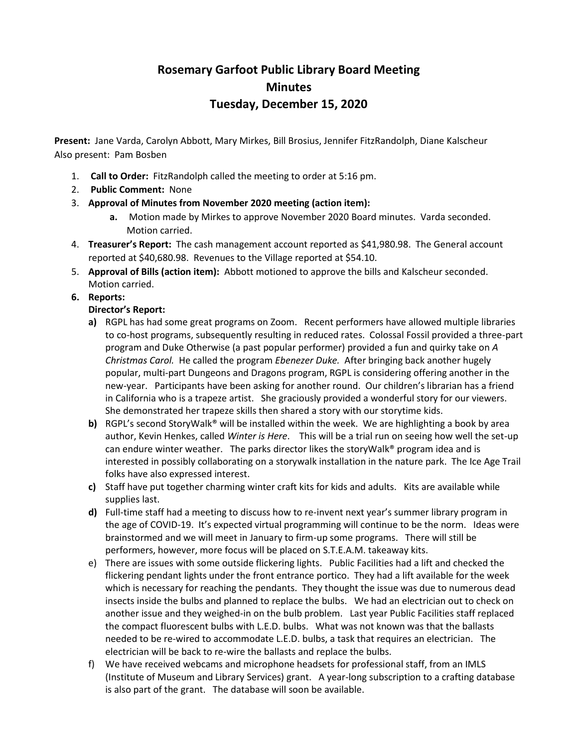## **Rosemary Garfoot Public Library Board Meeting Minutes Tuesday, December 15, 2020**

**Present:** Jane Varda, Carolyn Abbott, Mary Mirkes, Bill Brosius, Jennifer FitzRandolph, Diane Kalscheur Also present: Pam Bosben

- 1. **Call to Order:** FitzRandolph called the meeting to order at 5:16 pm.
- 2. **Public Comment:** None
- 3. **Approval of Minutes from November 2020 meeting (action item):**
	- **a.** Motion made by Mirkes to approve November 2020 Board minutes. Varda seconded. Motion carried.
- 4. **Treasurer's Report:** The cash management account reported as \$41,980.98. The General account reported at \$40,680.98. Revenues to the Village reported at \$54.10.
- 5. **Approval of Bills (action item):** Abbott motioned to approve the bills and Kalscheur seconded. Motion carried.
- **6. Reports:**
	- **Director's Report:**
	- **a)** RGPL has had some great programs on Zoom. Recent performers have allowed multiple libraries to co-host programs, subsequently resulting in reduced rates. Colossal Fossil provided a three-part program and Duke Otherwise (a past popular performer) provided a fun and quirky take on *A Christmas Carol.* He called the program *Ebenezer Duke.* After bringing back another hugely popular, multi-part Dungeons and Dragons program, RGPL is considering offering another in the new-year. Participants have been asking for another round. Our children's librarian has a friend in California who is a trapeze artist. She graciously provided a wonderful story for our viewers. She demonstrated her trapeze skills then shared a story with our storytime kids.
	- **b)** RGPL's second StoryWalk® will be installed within the week. We are highlighting a book by area author, Kevin Henkes, called *Winter is Here*. This will be a trial run on seeing how well the set-up can endure winter weather. The parks director likes the storyWalk® program idea and is interested in possibly collaborating on a storywalk installation in the nature park. The Ice Age Trail folks have also expressed interest.
	- **c)** Staff have put together charming winter craft kits for kids and adults. Kits are available while supplies last.
	- **d)** Full-time staff had a meeting to discuss how to re-invent next year's summer library program in the age of COVID-19. It's expected virtual programming will continue to be the norm. Ideas were brainstormed and we will meet in January to firm-up some programs. There will still be performers, however, more focus will be placed on S.T.E.A.M. takeaway kits.
	- e) There are issues with some outside flickering lights. Public Facilities had a lift and checked the flickering pendant lights under the front entrance portico. They had a lift available for the week which is necessary for reaching the pendants. They thought the issue was due to numerous dead insects inside the bulbs and planned to replace the bulbs. We had an electrician out to check on another issue and they weighed-in on the bulb problem. Last year Public Facilities staff replaced the compact fluorescent bulbs with L.E.D. bulbs. What was not known was that the ballasts needed to be re-wired to accommodate L.E.D. bulbs, a task that requires an electrician. The electrician will be back to re-wire the ballasts and replace the bulbs.
	- f) We have received webcams and microphone headsets for professional staff, from an IMLS (Institute of Museum and Library Services) grant. A year-long subscription to a crafting database is also part of the grant. The database will soon be available.